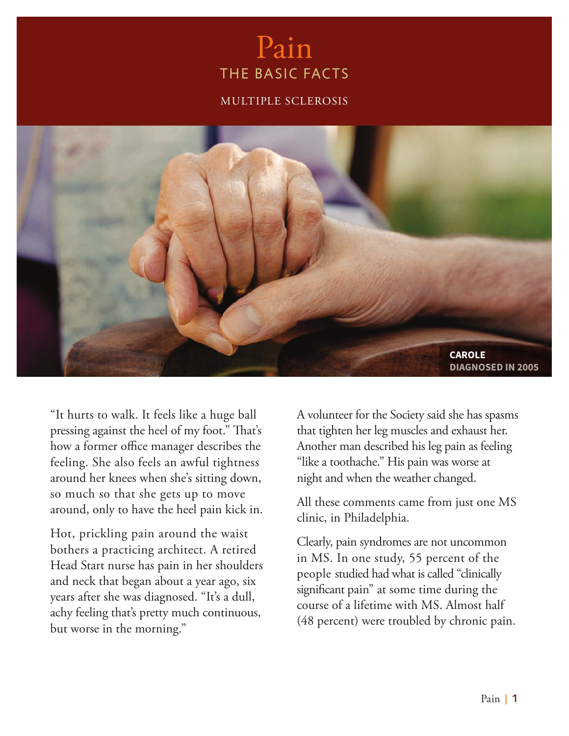# Pain THE BASIC FACTS

#### MULTIPLE SCLEROSIS



"It hurts to walk. It feels like a huge ball pressing against the heel of my foot." That's how a former office manager describes the feeling. She also feels an awful tightness around her knees when she's sitting down, so much so that she gets up to move around, only to have the heel pain kick in.

Hot, prickling pain around the waist bothers a practicing architect. A retired Head Start nurse has pain in her shoulders and neck that began about a year ago, six years after she was diagnosed. "It's a dull, achy feeling that's pretty much continuous, but worse in the morning."

A volunteer for the Society said she has spasms that tighten her leg muscles and exhaust her. Another man described his leg pain as feeling "like a toothache." His pain was worse at night and when the weather changed.

All these comments came from just one MS clinic, in Philadelphia.

Clearly, pain syndromes are not uncommon in MS. In one study, 55 percent of the people studied had what is called "clinically significant pain" at some time during the course of a lifetime with MS. Almost half (48 percent) were troubled by chronic pain.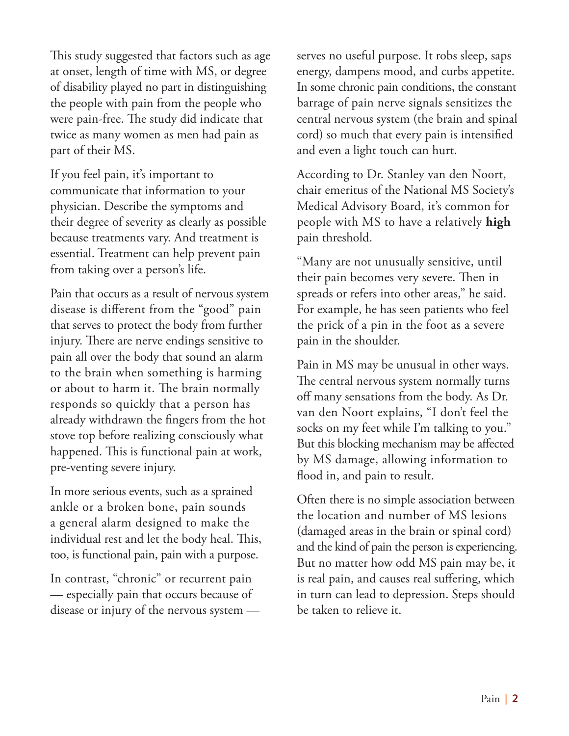This study suggested that factors such as age at onset, length of time with MS, or degree of disability played no part in distinguishing the people with pain from the people who were pain-free. The study did indicate that twice as many women as men had pain as part of their MS.

If you feel pain, it's important to communicate that information to your physician. Describe the symptoms and their degree of severity as clearly as possible because treatments vary. And treatment is essential. Treatment can help prevent pain from taking over a person's life.

Pain that occurs as a result of nervous system disease is different from the "good" pain that serves to protect the body from further injury. There are nerve endings sensitive to pain all over the body that sound an alarm to the brain when something is harming or about to harm it. The brain normally responds so quickly that a person has already withdrawn the fingers from the hot stove top before realizing consciously what happened. This is functional pain at work, pre-venting severe injury.

In more serious events, such as a sprained ankle or a broken bone, pain sounds a general alarm designed to make the individual rest and let the body heal. This, too, is functional pain, pain with a purpose.

In contrast, "chronic" or recurrent pain — especially pain that occurs because of disease or injury of the nervous system — serves no useful purpose. It robs sleep, saps energy, dampens mood, and curbs appetite. In some chronic pain conditions, the constant barrage of pain nerve signals sensitizes the central nervous system (the brain and spinal cord) so much that every pain is intensified and even a light touch can hurt.

According to Dr. Stanley van den Noort, chair emeritus of the National MS Society's Medical Advisory Board, it's common for people with MS to have a relatively **high** pain threshold.

"Many are not unusually sensitive, until their pain becomes very severe. Then in spreads or refers into other areas," he said. For example, he has seen patients who feel the prick of a pin in the foot as a severe pain in the shoulder.

Pain in MS may be unusual in other ways. The central nervous system normally turns off many sensations from the body. As Dr. van den Noort explains, "I don't feel the socks on my feet while I'm talking to you." But this blocking mechanism may be affected by MS damage, allowing information to flood in, and pain to result.

Often there is no simple association between the location and number of MS lesions (damaged areas in the brain or spinal cord) and the kind of pain the person is experiencing. But no matter how odd MS pain may be, it is real pain, and causes real suffering, which in turn can lead to depression. Steps should be taken to relieve it.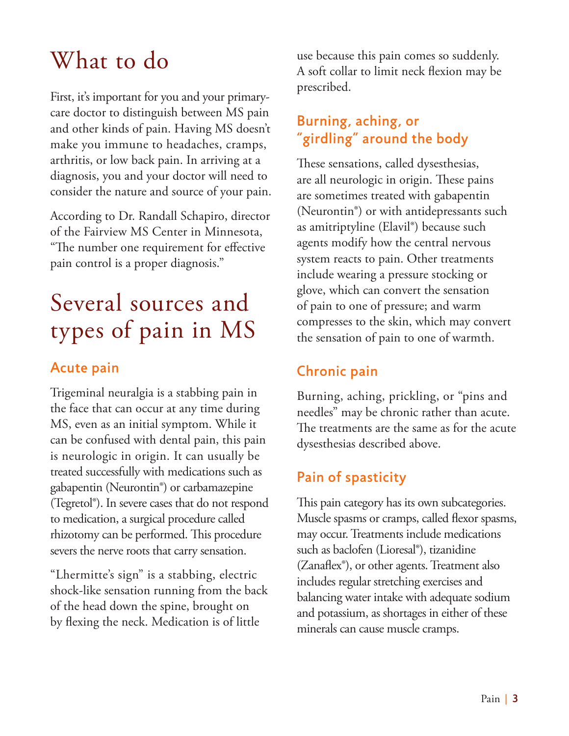# What to do

First, it's important for you and your primarycare doctor to distinguish between MS pain and other kinds of pain. Having MS doesn't make you immune to headaches, cramps, arthritis, or low back pain. In arriving at a diagnosis, you and your doctor will need to consider the nature and source of your pain.

According to Dr. Randall Schapiro, director of the Fairview MS Center in Minnesota, "The number one requirement for effective pain control is a proper diagnosis."

# Several sources and types of pain in MS

### Acute pain

Trigeminal neuralgia is a stabbing pain in the face that can occur at any time during MS, even as an initial symptom. While it can be confused with dental pain, this pain is neurologic in origin. It can usually be treated successfully with medications such as gabapentin (Neurontin®) or carbamazepine (Tegretol®). In severe cases that do not respond to medication, a surgical procedure called rhizotomy can be performed. This procedure severs the nerve roots that carry sensation.

"Lhermitte's sign" is a stabbing, electric shock-like sensation running from the back of the head down the spine, brought on by flexing the neck. Medication is of little

use because this pain comes so suddenly. A soft collar to limit neck flexion may be prescribed.

### Burning, aching, or "girdling" around the body

These sensations, called dysesthesias, are all neurologic in origin. These pains are sometimes treated with gabapentin (Neurontin®) or with antidepressants such as amitriptyline (Elavil®) because such agents modify how the central nervous system reacts to pain. Other treatments include wearing a pressure stocking or glove, which can convert the sensation of pain to one of pressure; and warm compresses to the skin, which may convert the sensation of pain to one of warmth.

### Chronic pain

Burning, aching, prickling, or "pins and needles" may be chronic rather than acute. The treatments are the same as for the acute dysesthesias described above.

## Pain of spasticity

This pain category has its own subcategories. Muscle spasms or cramps, called flexor spasms, may occur. Treatments include medications such as baclofen (Lioresal®), tizanidine (Zanaflex®), or other agents. Treatment also includes regular stretching exercises and balancing water intake with adequate sodium and potassium, as shortages in either of these minerals can cause muscle cramps.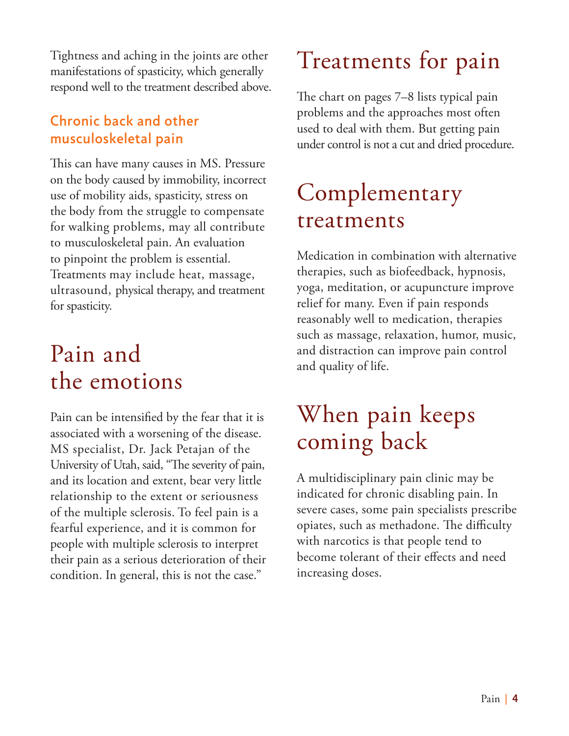Tightness and aching in the joints are other manifestations of spasticity, which generally respond well to the treatment described above.

### Chronic back and other musculoskeletal pain

This can have many causes in MS. Pressure on the body caused by immobility, incorrect use of mobility aids, spasticity, stress on the body from the struggle to compensate for walking problems, may all contribute to musculoskeletal pain. An evaluation to pinpoint the problem is essential. Treatments may include heat, massage, ultrasound, physical therapy, and treatment for spasticity.

# Pain and the emotions

Pain can be intensified by the fear that it is associated with a worsening of the disease. MS specialist, Dr. Jack Petajan of the University of Utah, said, "The severity of pain, and its location and extent, bear very little relationship to the extent or seriousness of the multiple sclerosis. To feel pain is a fearful experience, and it is common for people with multiple sclerosis to interpret their pain as a serious deterioration of their condition. In general, this is not the case."

# Treatments for pain

The chart on pages 7–8 lists typical pain problems and the approaches most often used to deal with them. But getting pain under control is not a cut and dried procedure.

# Complementary treatments

Medication in combination with alternative therapies, such as biofeedback, hypnosis, yoga, meditation, or acupuncture improve relief for many. Even if pain responds reasonably well to medication, therapies such as massage, relaxation, humor, music, and distraction can improve pain control and quality of life.

# When pain keeps coming back

A multidisciplinary pain clinic may be indicated for chronic disabling pain. In severe cases, some pain specialists prescribe opiates, such as methadone. The difficulty with narcotics is that people tend to become tolerant of their effects and need increasing doses.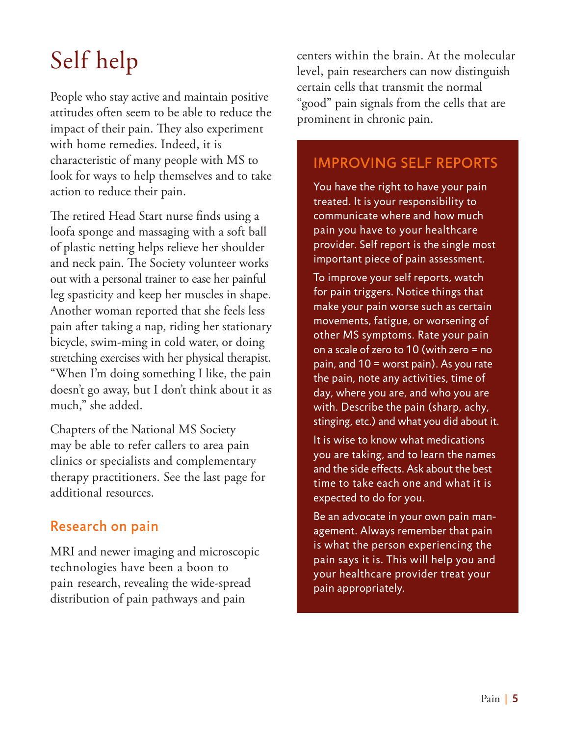# Self help

People who stay active and maintain positive attitudes often seem to be able to reduce the impact of their pain. They also experiment with home remedies. Indeed, it is characteristic of many people with MS to look for ways to help themselves and to take action to reduce their pain.

The retired Head Start nurse finds using a loofa sponge and massaging with a soft ball of plastic netting helps relieve her shoulder and neck pain. The Society volunteer works out with a personal trainer to ease her painful leg spasticity and keep her muscles in shape. Another woman reported that she feels less pain after taking a nap, riding her stationary bicycle, swim-ming in cold water, or doing stretching exercises with her physical therapist. "When I'm doing something I like, the pain doesn't go away, but I don't think about it as much," she added.

Chapters of the National MS Society may be able to refer callers to area pain clinics or specialists and complementary therapy practitioners. See the last page for additional resources.

### Research on pain

MRI and newer imaging and microscopic technologies have been a boon to pain research, revealing the wide-spread distribution of pain pathways and pain

centers within the brain. At the molecular level, pain researchers can now distinguish certain cells that transmit the normal "good" pain signals from the cells that are prominent in chronic pain.

### IMPROVING SELF REPORTS

You have the right to have your pain treated. It is your responsibility to communicate where and how much pain you have to your healthcare provider. Self report is the single most important piece of pain assessment.

To improve your self reports, watch for pain triggers. Notice things that make your pain worse such as certain movements, fatigue, or worsening of other MS symptoms. Rate your pain on a scale of zero to 10 (with zero = no pain, and 10 = worst pain). As you rate the pain, note any activities, time of day, where you are, and who you are with. Describe the pain (sharp, achy, stinging, etc.) and what you did about it.

It is wise to know what medications you are taking, and to learn the names and the side effects. Ask about the best time to take each one and what it is expected to do for you.

Be an advocate in your own pain management. Always remember that pain is what the person experiencing the pain says it is. This will help you and your healthcare provider treat your pain appropriately.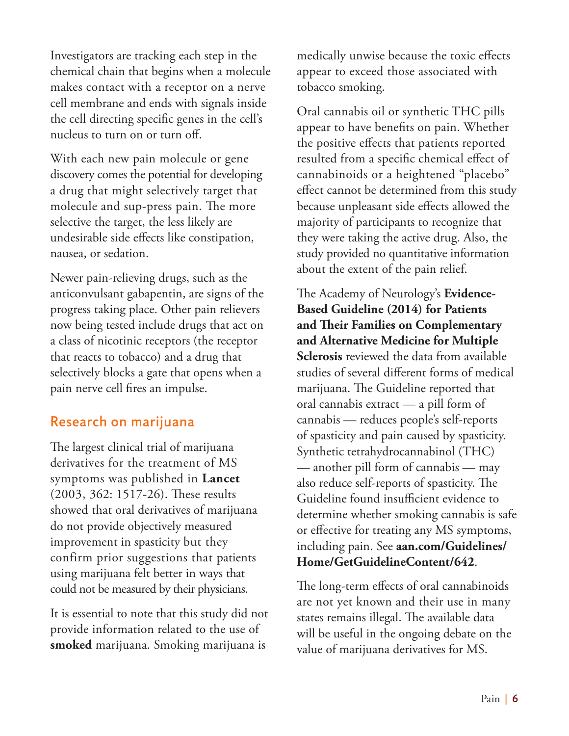Investigators are tracking each step in the chemical chain that begins when a molecule makes contact with a receptor on a nerve cell membrane and ends with signals inside the cell directing specific genes in the cell's nucleus to turn on or turn off.

With each new pain molecule or gene discovery comes the potential for developing a drug that might selectively target that molecule and sup-press pain. The more selective the target, the less likely are undesirable side effects like constipation, nausea, or sedation.

Newer pain-relieving drugs, such as the anticonvulsant gabapentin, are signs of the progress taking place. Other pain relievers now being tested include drugs that act on a class of nicotinic receptors (the receptor that reacts to tobacco) and a drug that selectively blocks a gate that opens when a pain nerve cell fires an impulse.

#### Research on marijuana

The largest clinical trial of marijuana derivatives for the treatment of MS symptoms was published in **Lancet** (2003, 362: 1517-26). These results showed that oral derivatives of marijuana do not provide objectively measured improvement in spasticity but they confirm prior suggestions that patients using marijuana felt better in ways that could not be measured by their physicians.

It is essential to note that this study did not provide information related to the use of **smoked** marijuana. Smoking marijuana is

medically unwise because the toxic effects appear to exceed those associated with tobacco smoking.

Oral cannabis oil or synthetic THC pills appear to have benefits on pain. Whether the positive effects that patients reported resulted from a specific chemical effect of cannabinoids or a heightened "placebo" effect cannot be determined from this study because unpleasant side effects allowed the majority of participants to recognize that they were taking the active drug. Also, the study provided no quantitative information about the extent of the pain relief.

The Academy of Neurology's **Evidence-Based Guideline (2014) for Patients and Their Families on Complementary and Alternative Medicine for Multiple Sclerosis** reviewed the data from available studies of several different forms of medical marijuana. The Guideline reported that oral cannabis extract — a pill form of cannabis — reduces people's self-reports of spasticity and pain caused by spasticity. Synthetic tetrahydrocannabinol (THC) — another pill form of cannabis — may also reduce self-reports of spasticity. The Guideline found insufficient evidence to determine whether smoking cannabis is safe or effective for treating any MS symptoms, including pain. See **aan.com/Guidelines/ Home/GetGuidelineContent/642**.

The long-term effects of oral cannabinoids are not yet known and their use in many states remains illegal. The available data will be useful in the ongoing debate on the value of marijuana derivatives for MS.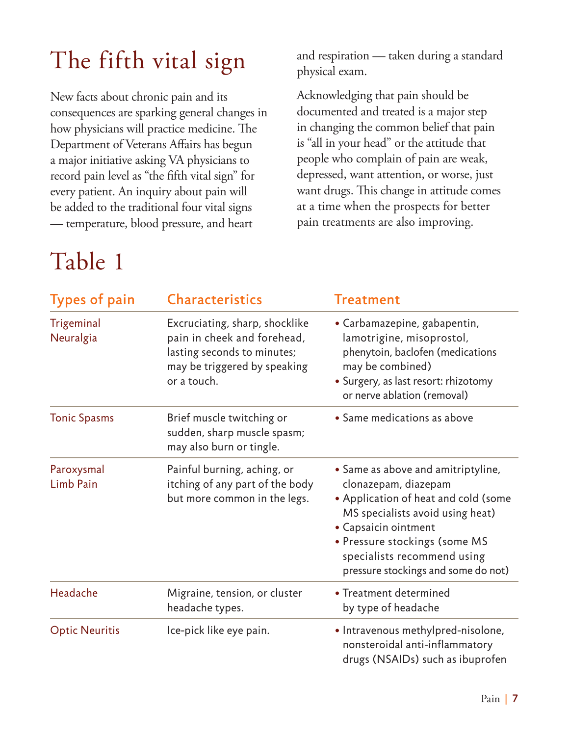# The fifth vital sign

New facts about chronic pain and its consequences are sparking general changes in how physicians will practice medicine. The Department of Veterans Affairs has begun a major initiative asking VA physicians to record pain level as "the fifth vital sign" for every patient. An inquiry about pain will be added to the traditional four vital signs — temperature, blood pressure, and heart

# Table 1

and respiration — taken during a standard physical exam.

Acknowledging that pain should be documented and treated is a major step in changing the common belief that pain is "all in your head" or the attitude that people who complain of pain are weak, depressed, want attention, or worse, just want drugs. This change in attitude comes at a time when the prospects for better pain treatments are also improving.

| <b>Types of pain</b>    | <b>Characteristics</b>                                                                                                                      | <b>Treatment</b>                                                                                                                                                                                                                                                      |
|-------------------------|---------------------------------------------------------------------------------------------------------------------------------------------|-----------------------------------------------------------------------------------------------------------------------------------------------------------------------------------------------------------------------------------------------------------------------|
| Trigeminal<br>Neuralgia | Excruciating, sharp, shocklike<br>pain in cheek and forehead,<br>lasting seconds to minutes;<br>may be triggered by speaking<br>or a touch. | • Carbamazepine, gabapentin,<br>lamotrigine, misoprostol,<br>phenytoin, baclofen (medications<br>may be combined)<br>• Surgery, as last resort: rhizotomy<br>or nerve ablation (removal)                                                                              |
| <b>Tonic Spasms</b>     | Brief muscle twitching or<br>sudden, sharp muscle spasm;<br>may also burn or tingle.                                                        | • Same medications as above                                                                                                                                                                                                                                           |
| Paroxysmal<br>Limb Pain | Painful burning, aching, or<br>itching of any part of the body<br>but more common in the legs.                                              | • Same as above and amitriptyline,<br>clonazepam, diazepam<br>• Application of heat and cold (some<br>MS specialists avoid using heat)<br>• Capsaicin ointment<br>• Pressure stockings (some MS<br>specialists recommend using<br>pressure stockings and some do not) |
| Headache                | Migraine, tension, or cluster<br>headache types.                                                                                            | • Treatment determined<br>by type of headache                                                                                                                                                                                                                         |
| <b>Optic Neuritis</b>   | Ice-pick like eye pain.                                                                                                                     | • Intravenous methylpred-nisolone,<br>nonsteroidal anti-inflammatory<br>drugs (NSAIDs) such as ibuprofen                                                                                                                                                              |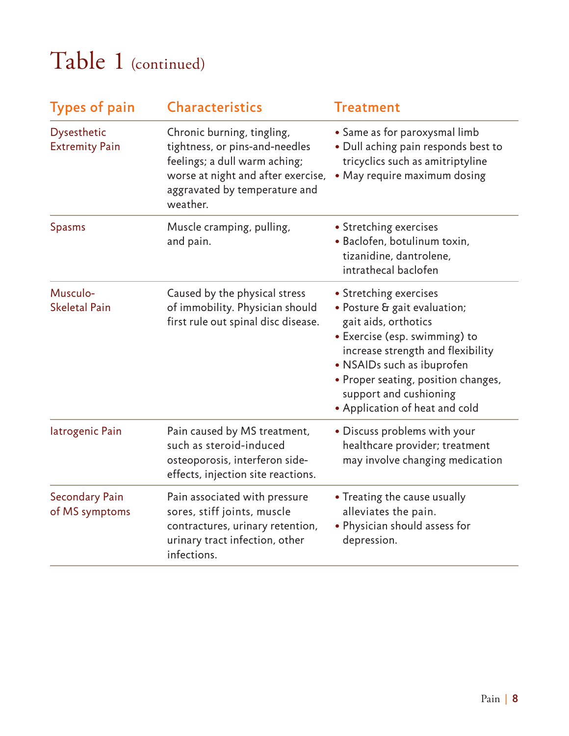# Table 1 (continued)

| <b>Types of pain</b>                        | <b>Characteristics</b>                                                                                                                                                           | <b>Treatment</b>                                                                                                                                                                                                                                                                      |
|---------------------------------------------|----------------------------------------------------------------------------------------------------------------------------------------------------------------------------------|---------------------------------------------------------------------------------------------------------------------------------------------------------------------------------------------------------------------------------------------------------------------------------------|
| <b>Dysesthetic</b><br><b>Extremity Pain</b> | Chronic burning, tingling,<br>tightness, or pins-and-needles<br>feelings; a dull warm aching;<br>worse at night and after exercise,<br>aggravated by temperature and<br>weather. | • Same as for paroxysmal limb<br>• Dull aching pain responds best to<br>tricyclics such as amitriptyline<br>• May require maximum dosing                                                                                                                                              |
| <b>Spasms</b>                               | Muscle cramping, pulling,<br>and pain.                                                                                                                                           | • Stretching exercises<br>· Baclofen, botulinum toxin,<br>tizanidine, dantrolene,<br>intrathecal baclofen                                                                                                                                                                             |
| Musculo-<br><b>Skeletal Pain</b>            | Caused by the physical stress<br>of immobility. Physician should<br>first rule out spinal disc disease.                                                                          | • Stretching exercises<br>• Posture & gait evaluation;<br>gait aids, orthotics<br>· Exercise (esp. swimming) to<br>increase strength and flexibility<br>• NSAIDs such as ibuprofen<br>• Proper seating, position changes,<br>support and cushioning<br>• Application of heat and cold |
| latrogenic Pain                             | Pain caused by MS treatment,<br>such as steroid-induced<br>osteoporosis, interferon side-<br>effects, injection site reactions.                                                  | • Discuss problems with your<br>healthcare provider; treatment<br>may involve changing medication                                                                                                                                                                                     |
| <b>Secondary Pain</b><br>of MS symptoms     | Pain associated with pressure<br>sores, stiff joints, muscle<br>contractures, urinary retention,<br>urinary tract infection, other<br>infections.                                | • Treating the cause usually<br>alleviates the pain.<br>• Physician should assess for<br>depression.                                                                                                                                                                                  |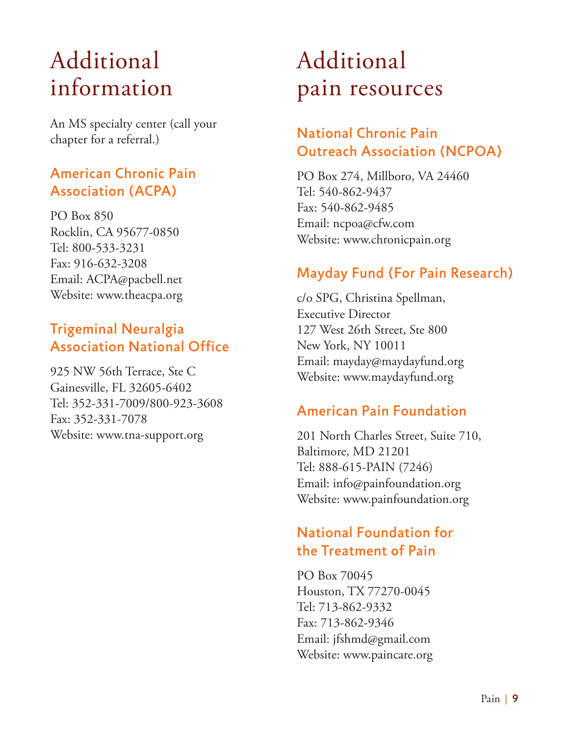# Additional information

An MS specialty center (call your chapter for a referral.)

### American Chronic Pain Association (ACPA)

PO Box 850 Rocklin, CA 95677-0850 Tel: 800-533-3231 Fax: 916-632-3208 Email: ACPA@pacbell.net Website: www.theacpa.org

### Trigeminal Neuralgia Association National Office

925 NW 56th Terrace, Ste C Gainesville, FL 32605-6402 Tel: 352-331-7009/800-923-3608 Fax: 352-331-7078 Website: www.tna-support.org

# Additional pain resources

### National Chronic Pain Outreach Association (NCPOA)

PO Box 274, Millboro, VA 24460 Tel: 540-862-9437 Fax: 540-862-9485 Email: ncpoa@cfw.com Website: www.chronicpain.org

### Mayday Fund (For Pain Research)

c/o SPG, Christina Spellman, Executive Director 127 West 26th Street, Ste 800 New York, NY 10011 Email: mayday@maydayfund.org Website: www.maydayfund.org

### American Pain Foundation

201 North Charles Street, Suite 710, Baltimore, MD 21201 Tel: 888-615-PAIN (7246) Email: info@painfoundation.org Website: www.painfoundation.org

### National Foundation for the Treatment of Pain

PO Box 70045 Houston, TX 77270-0045 Tel: 713-862-9332 Fax: 713-862-9346 Email: jfshmd@gmail.com Website: www.paincare.org